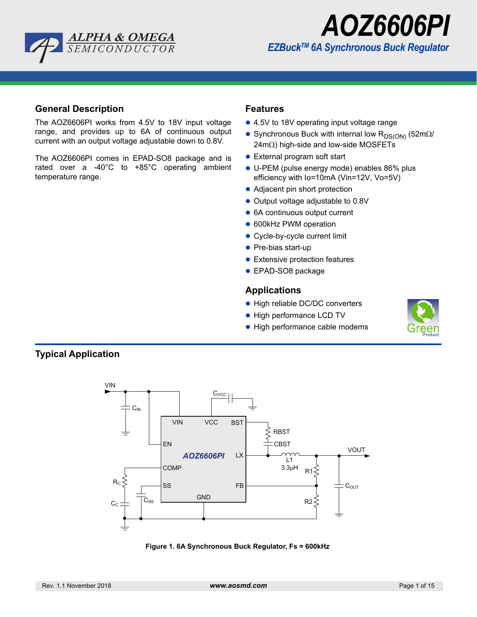



## **General Description**

The AOZ6606PI works from 4.5V to 18V input voltage range, and provides up to 6A of continuous output current with an output voltage adjustable down to 0.8V.

The AOZ6606PI comes in EPAD-SO8 package and is rated over a -40°C to +85°C operating ambient temperature range.

## **Features**

- 4.5V to 18V operating input voltage range
- Synchronous Buck with internal low  $R_{DS(ON)}$  (52m $\Omega$ /  $24m<sub>\Omega</sub>$ ) high-side and low-side MOSFETs
- **External program soft start**
- U-PEM (pulse energy mode) enables 86% plus efficiency with Io=10mA (Vin=12V, Vo=5V)
- Adjacent pin short protection
- Output voltage adjustable to 0.8V
- 6A continuous output current
- 600kHz PWM operation
- Cycle-by-cycle current limit
- Pre-bias start-up
- **•** Extensive protection features
- **EPAD-SO8 package**

## **Applications**

- High reliable DC/DC converters
- High performance LCD TV
- High performance cable modems





**Figure 1. 6A Synchronous Buck Regulator, Fs = 600kHz**

# **Typical Application**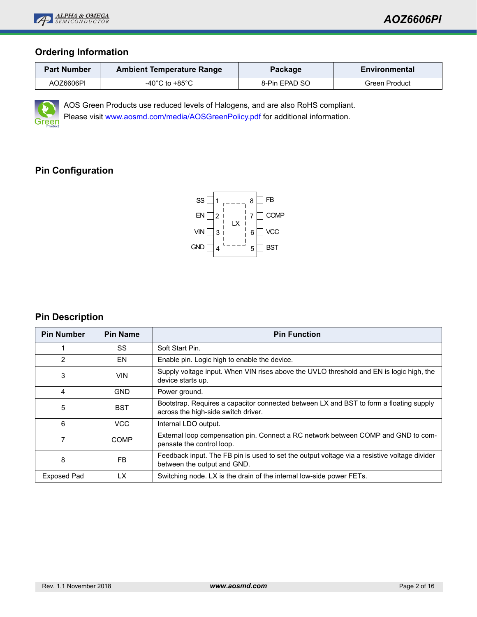

# **Ordering Information**

| <b>Part Number</b> | <b>Ambient Temperature Range</b>     | Package       | Environmental |  |  |
|--------------------|--------------------------------------|---------------|---------------|--|--|
| AOZ6606PI          | -40 $^{\circ}$ C to +85 $^{\circ}$ C | 8-Pin EPAD SO | Green Product |  |  |



AOS Green Products use reduced levels of Halogens, and are also RoHS compliant.

Please visit [www.aosmd.com/media/AOSGreenPolicy.pdf](http://www.aosmd.com/media/AOSGreenPolicy.pdf) for additional information.

# **Pin Configuration**



# **Pin Description**

| <b>Pin Number</b>  | <b>Pin Name</b> | <b>Pin Function</b>                                                                                                           |
|--------------------|-----------------|-------------------------------------------------------------------------------------------------------------------------------|
|                    | SS              | Soft Start Pin.                                                                                                               |
| 2                  | EN              | Enable pin. Logic high to enable the device.                                                                                  |
| 3                  | VIN             | Supply voltage input. When VIN rises above the UVLO threshold and EN is logic high, the<br>device starts up.                  |
| 4                  | <b>GND</b>      | Power ground.                                                                                                                 |
| 5                  | <b>BST</b>      | Bootstrap. Requires a capacitor connected between LX and BST to form a floating supply<br>across the high-side switch driver. |
| 6                  | <b>VCC</b>      | Internal LDO output.                                                                                                          |
|                    | COMP            | External loop compensation pin. Connect a RC network between COMP and GND to com-<br>pensate the control loop.                |
| 8                  | FB.             | Feedback input. The FB pin is used to set the output voltage via a resistive voltage divider<br>between the output and GND.   |
| <b>Exposed Pad</b> | LX              | Switching node. LX is the drain of the internal low-side power FETs.                                                          |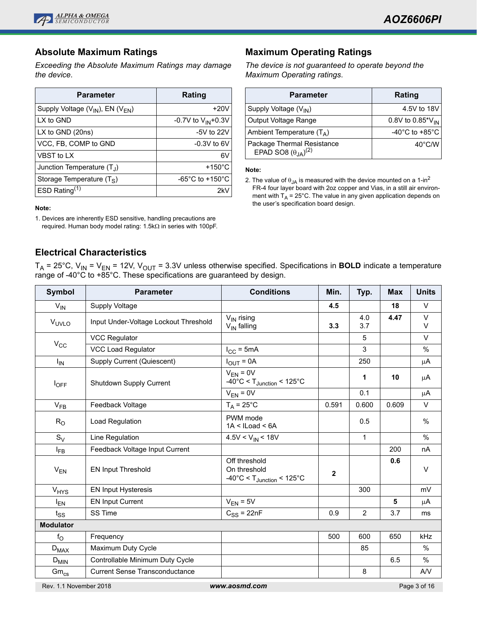

## **Absolute Maximum Ratings**

*Exceeding the Absolute Maximum Ratings may damage the device*.

| <b>Parameter</b>                          | Rating                                |
|-------------------------------------------|---------------------------------------|
| Supply Voltage $(V_{IN})$ , EN $(V_{EN})$ | $+20V$                                |
| LX to GND                                 | -0.7V to $V_{IN}$ +0.3V               |
| LX to GND $(20ns)$                        | $-5V$ to 22V                          |
| VCC, FB, COMP to GND                      | $-0.3V$ to 6V                         |
| VBST to LX                                | 6V                                    |
| Junction Temperature $(T_1)$              | $+150^{\circ}$ C                      |
| Storage Temperature $(T_S)$               | -65 $^{\circ}$ C to +150 $^{\circ}$ C |
| ESD Rating $(1)$                          | 2kV                                   |

**Note:**

1. Devices are inherently ESD sensitive, handling precautions are required. Human body model rating:  $1.5k\Omega$  in series with 100pF.

# **Electrical Characteristics**

T<sub>A</sub> = 25°C, V<sub>IN</sub> = V<sub>EN</sub> = 12V, V<sub>OUT</sub> = 3.3V unless otherwise specified. Specifications in **BOLD** indicate a temperature range of -40°C to +85°C. These specifications are guaranteed by design.

| <b>Symbol</b>          | <b>Parameter</b>                      | <b>Conditions</b>                                                                           | Min.  | Typ.           | <b>Max</b> | <b>Units</b> |
|------------------------|---------------------------------------|---------------------------------------------------------------------------------------------|-------|----------------|------------|--------------|
| $V_{IN}$               | Supply Voltage                        |                                                                                             | 4.5   |                | 18         | $\vee$       |
| VUVLO                  | Input Under-Voltage Lockout Threshold | $V_{IN}$ rising<br>$V_{IN}$ falling                                                         | 3.3   | 4.0<br>3.7     | 4.47       | V<br>$\vee$  |
|                        | <b>VCC Regulator</b>                  |                                                                                             |       | 5              |            | V            |
| $V_{CC}$               | <b>VCC Load Regulator</b>             | $I_{CC}$ = 5mA                                                                              |       | 3              |            | %            |
| $I_{IN}$               | Supply Current (Quiescent)            | $I_{\text{OUT}} = 0A$                                                                       |       | 250            |            | $\mu$ A      |
| $I_{OFF}$              | Shutdown Supply Current               | $V_{EN} = 0V$<br>$-40^{\circ}$ C < T <sub>Junction</sub> < 125 $^{\circ}$ C                 |       | 1              | 10         | μA           |
|                        |                                       | $V_{EN} = 0V$                                                                               |       | 0.1            |            | $\mu$ A      |
| $V_{FB}$               | Feedback Voltage                      | $T_A = 25^{\circ}C$                                                                         | 0.591 | 0.600          | 0.609      | $\vee$       |
| $R_{O}$                | Load Regulation                       | PWM mode<br>$1A < I$ Load < 6A                                                              |       | 0.5            |            | $\%$         |
| $S_V$                  | Line Regulation                       | $4.5V < V_{IN} < 18V$                                                                       |       | $\mathbf{1}$   |            | $\%$         |
| $I_{FB}$               | Feedback Voltage Input Current        |                                                                                             |       |                | 200        | nA           |
| $V_{EN}$               | <b>EN Input Threshold</b>             | Off threshold<br>On threshold<br>$-40^{\circ}$ C < T <sub>Junction</sub> < 125 $^{\circ}$ C | 2     |                | 0.6        | $\vee$       |
| <b>V<sub>HYS</sub></b> | <b>EN Input Hysteresis</b>            |                                                                                             |       | 300            |            | mV           |
| $I_{EN}$               | <b>EN Input Current</b>               | $V_{EN}$ = 5V                                                                               |       |                | 5          | μA           |
| $t_{SS}$               | SS Time                               | $C_{SS}$ = 22nF                                                                             | 0.9   | $\overline{2}$ | 3.7        | ms           |
| <b>Modulator</b>       |                                       |                                                                                             |       |                |            |              |
| $f_{\rm O}$            | Frequency                             |                                                                                             | 500   | 600            | 650        | kHz          |
| $D_{MAX}$              | Maximum Duty Cycle                    |                                                                                             |       | 85             |            | $\%$         |
| $D_{MIN}$              | Controllable Minimum Duty Cycle       |                                                                                             |       |                | 6.5        | $\%$         |
| $Gm_{cs}$              | <b>Current Sense Transconductance</b> |                                                                                             |       | 8              |            | AVV          |
| Rev. 1.1 November 2018 |                                       | www.aosmd.com                                                                               |       |                |            | Page 3 of 16 |

## **Maximum Operating Ratings**

*The device is not guaranteed to operate beyond the Maximum Operating ratings*.

| <b>Parameter</b>                                             | Rating                               |
|--------------------------------------------------------------|--------------------------------------|
| Supply Voltage (V <sub>IN</sub> )                            | 4.5V to 18V                          |
| Output Voltage Range                                         | 0.8V to 0.85* $V_{IN}$               |
| Ambient Temperature $(T_A)$                                  | -40 $^{\circ}$ C to +85 $^{\circ}$ C |
| Package Thermal Resistance<br>EPAD SO8 $(\theta_{JA})^{(2)}$ | $40^{\circ}$ C/W                     |

#### **Note:**

2. The value of  $\theta_{JA}$  is measured with the device mounted on a 1-in<sup>2</sup> FR-4 four layer board with 2oz copper and Vias, in a still air environment with  $T_A = 25^{\circ}$ C. The value in any given application depends on the user's specification board design.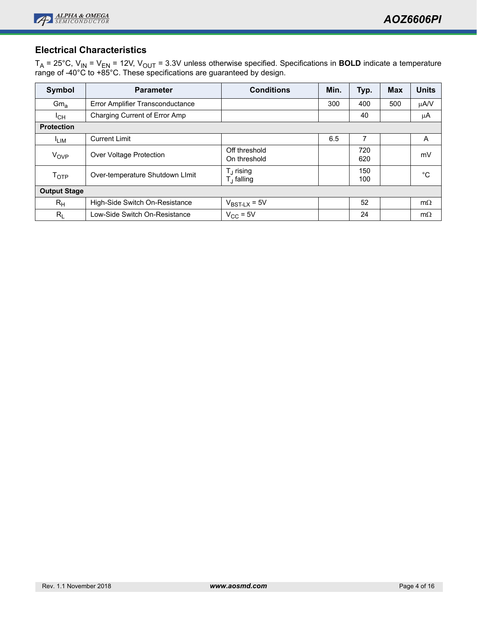

# **Electrical Characteristics**

T<sub>A</sub> = 25°C, V<sub>IN</sub> = V<sub>EN</sub> = 12V, V<sub>OUT</sub> = 3.3V unless otherwise specified. Specifications in **BOLD** indicate a temperature range of -40°C to +85°C. These specifications are guaranteed by design.

| Symbol              | <b>Parameter</b>                 | <b>Conditions</b>                   | Min. | Typ.       | <b>Max</b> | <b>Units</b> |
|---------------------|----------------------------------|-------------------------------------|------|------------|------------|--------------|
| Gm <sub>a</sub>     | Error Amplifier Transconductance |                                     | 300  | 400        | 500        | μA/V         |
| $I_{CH}$            | Charging Current of Error Amp    |                                     |      | 40         |            | μA           |
| <b>Protection</b>   |                                  |                                     |      |            |            |              |
| <sup>I</sup> LIM    | <b>Current Limit</b>             |                                     | 6.5  | 7          |            | A            |
| V <sub>OVP</sub>    | Over Voltage Protection          | Off threshold<br>On threshold       |      | 720<br>620 |            | mV           |
| T <sub>OTP</sub>    | Over-temperature Shutdown Llmit  | $T_J$ rising<br>$T_{\rm J}$ falling |      | 150<br>100 |            | °C           |
| <b>Output Stage</b> |                                  |                                     |      |            |            |              |
| $R_{H}$             | High-Side Switch On-Resistance   | $V_{BST-LX} = 5V$                   |      | 52         |            | $m\Omega$    |
| $R_{L}$             | Low-Side Switch On-Resistance    | $V_{\text{CC}}$ = 5V                |      | 24         |            | $m\Omega$    |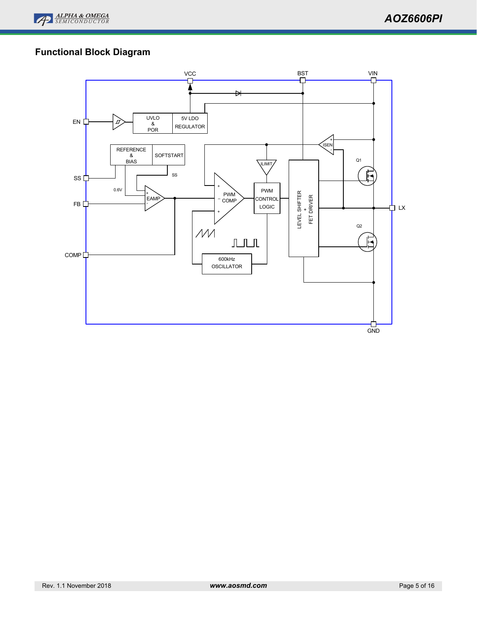

# **Functional Block Diagram**

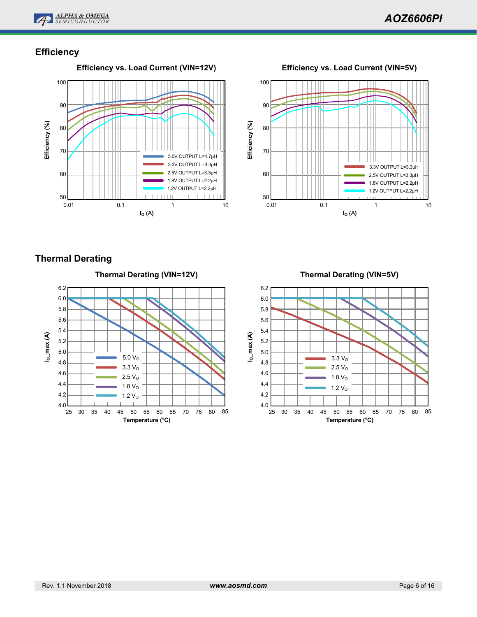

# **Efficiency**



100 90 Efficiency (%) **Efficiency (%)** 80 70 3.3V OUTPUT L=3.3µH 60 2.5V OUTPUT L=3.3µH 1.8V OUTPUT L=2.2µH 1.2V OUTPUT L=2.2µH 50 0.01 0.1 1 10 **IO (**A**)**

# **Thermal Derating**



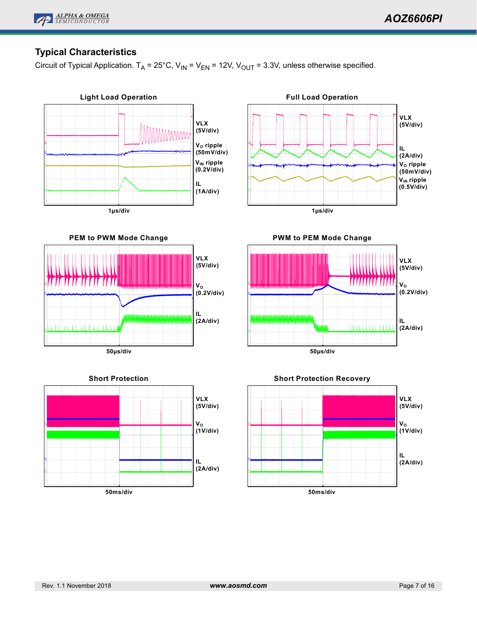

# **Typical Characteristics**

Circuit of Typical Application.  $T_A = 25^{\circ}$ C, V<sub>IN</sub> = V<sub>EN</sub> = 12V, V<sub>OUT</sub> = 3.3V, unless otherwise specified.

**VLX (5V/div)**

**IL (2A/div)**

**VO (0.2V/div)**



**PEM to PWM Mode Change**

**50µs/div**

בחר ברבות

-11°F1



**PWM to PEM Mode Change**





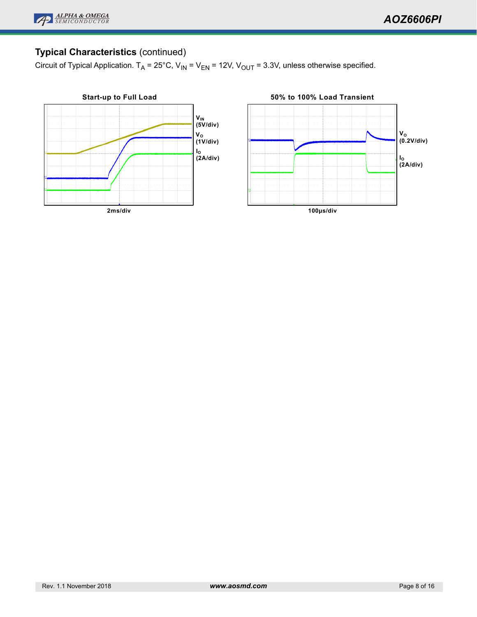

# **Typical Characteristics** (continued)

Circuit of Typical Application.  $T_A = 25^{\circ}$ C, V<sub>IN</sub> = V<sub>EN</sub> = 12V, V<sub>OUT</sub> = 3.3V, unless otherwise specified.

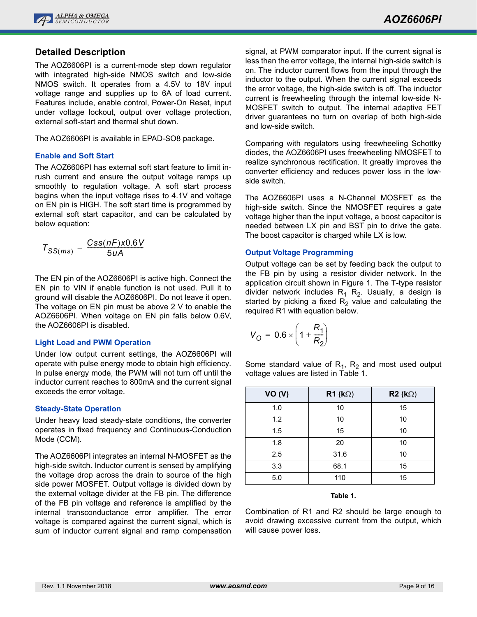

## **Detailed Description**

The AOZ6606PI is a current-mode step down regulator with integrated high-side NMOS switch and low-side NMOS switch. It operates from a 4.5V to 18V input voltage range and supplies up to 6A of load current. Features include, enable control, Power-On Reset, input under voltage lockout, output over voltage protection, external soft-start and thermal shut down.

The AOZ6606PI is available in EPAD-SO8 package.

## **Enable and Soft Start**

The AOZ6606PI has external soft start feature to limit inrush current and ensure the output voltage ramps up smoothly to regulation voltage. A soft start process begins when the input voltage rises to 4.1V and voltage on EN pin is HIGH. The soft start time is programmed by external soft start capacitor, and can be calculated by below equation:

$$
T_{SS(ms)} = \frac{Css(nF)x0.6V}{5uA}
$$

The EN pin of the AOZ6606PI is active high. Connect the EN pin to VIN if enable function is not used. Pull it to ground will disable the AOZ6606PI. Do not leave it open. The voltage on EN pin must be above 2 V to enable the AOZ6606PI. When voltage on EN pin falls below 0.6V, the AOZ6606PI is disabled.

## **Light Load and PWM Operation**

Under low output current settings, the AOZ6606PI will operate with pulse energy mode to obtain high efficiency. In pulse energy mode, the PWM will not turn off until the inductor current reaches to 800mA and the current signal exceeds the error voltage.

## **Steady-State Operation**

Under heavy load steady-state conditions, the converter operates in fixed frequency and Continuous-Conduction Mode (CCM).

The AOZ6606PI integrates an internal N-MOSFET as the high-side switch. Inductor current is sensed by amplifying the voltage drop across the drain to source of the high side power MOSFET. Output voltage is divided down by the external voltage divider at the FB pin. The difference of the FB pin voltage and reference is amplified by the internal transconductance error amplifier. The error voltage is compared against the current signal, which is sum of inductor current signal and ramp compensation signal, at PWM comparator input. If the current signal is less than the error voltage, the internal high-side switch is on. The inductor current flows from the input through the inductor to the output. When the current signal exceeds the error voltage, the high-side switch is off. The inductor current is freewheeling through the internal low-side N-MOSFET switch to output. The internal adaptive FET driver guarantees no turn on overlap of both high-side and low-side switch.

Comparing with regulators using freewheeling Schottky diodes, the AOZ6606PI uses freewheeling NMOSFET to realize synchronous rectification. It greatly improves the converter efficiency and reduces power loss in the lowside switch.

The AOZ6606PI uses a N-Channel MOSFET as the high-side switch. Since the NMOSFET requires a gate voltage higher than the input voltage, a boost capacitor is needed between LX pin and BST pin to drive the gate. The boost capacitor is charged while LX is low.

## **Output Voltage Programming**

Output voltage can be set by feeding back the output to the FB pin by using a resistor divider network. In the application circuit shown in Figure 1. The T-type resistor divider network includes  $R_1$   $R_2$ . Usually, a design is started by picking a fixed  $R<sub>2</sub>$  value and calculating the required R1 with equation below.

$$
V_O = 0.6 \times \left(1 + \frac{R_1}{R_2}\right)
$$

Some standard value of  $R_1$ ,  $R_2$  and most used output voltage values are listed in Table 1.

| <b>VO (V)</b> | R1 ( $k\Omega$ ) | $R2 (k\Omega)$ |
|---------------|------------------|----------------|
| 1.0           | 10               | 15             |
| 1.2           | 10               | 10             |
| 1.5           | 15               | 10             |
| 1.8           | 20               | 10             |
| 2.5           | 31.6             | 10             |
| 3.3           | 68.1             | 15             |
| 5.0           | 110              | 15             |

## **Table 1.**

Combination of R1 and R2 should be large enough to avoid drawing excessive current from the output, which will cause power loss.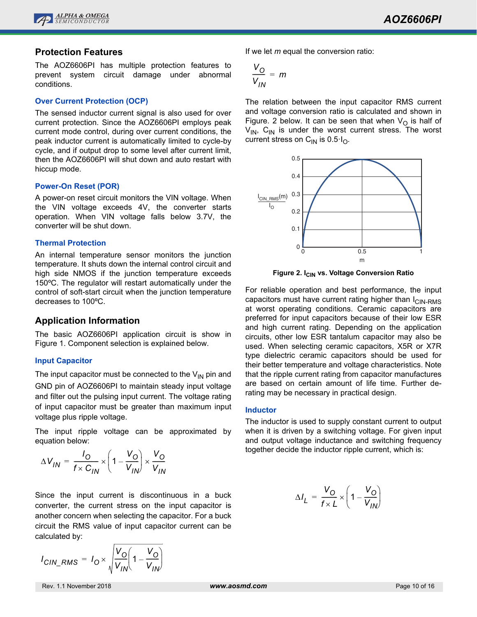

## **Protection Features**

The AOZ6606PI has multiple protection features to prevent system circuit damage under abnormal conditions.

### **Over Current Protection (OCP)**

The sensed inductor current signal is also used for over current protection. Since the AOZ6606PI employs peak current mode control, during over current conditions, the peak inductor current is automatically limited to cycle-by cycle, and if output drop to some level after current limit, then the AOZ6606PI will shut down and auto restart with hiccup mode.

### **Power-On Reset (POR)**

A power-on reset circuit monitors the VIN voltage. When the VIN voltage exceeds 4V, the converter starts operation. When VIN voltage falls below 3.7V, the converter will be shut down.

### **Thermal Protection**

An internal temperature sensor monitors the junction temperature. It shuts down the internal control circuit and high side NMOS if the junction temperature exceeds 150ºC. The regulator will restart automatically under the control of soft-start circuit when the junction temperature decreases to 100ºC.

## **Application Information**

The basic AOZ6606PI application circuit is show in Figure 1. Component selection is explained below.

## **Input Capacitor**

The input capacitor must be connected to the  $V_{IN}$  pin and GND pin of AOZ6606PI to maintain steady input voltage and filter out the pulsing input current. The voltage rating of input capacitor must be greater than maximum input voltage plus ripple voltage.

The input ripple voltage can be approximated by equation below:

$$
\Delta V_{IN} = \frac{I_O}{f \times C_{IN}} \times \left(1 - \frac{V_O}{V_{IN}}\right) \times \frac{V_O}{V_{IN}}
$$

Since the input current is discontinuous in a buck converter, the current stress on the input capacitor is another concern when selecting the capacitor. For a buck circuit the RMS value of input capacitor current can be calculated by:

$$
I_{CIN\_RMS} = I_O \times \sqrt{\frac{V_O}{V_{IN}}} \left(1 - \frac{V_O}{V_{IN}}\right)
$$

If we let *m* equal the conversion ratio:

$$
\frac{V_O}{V_{IN}} = m
$$

The relation between the input capacitor RMS current and voltage conversion ratio is calculated and shown in Figure. 2 below. It can be seen that when  $V<sub>O</sub>$  is half of  $V_{IN}$ , C<sub>IN</sub> is under the worst current stress. The worst current stress on  $C_{1N}$  is 0.5 $I_{O}$ .



**Figure 2. I<sub>CIN</sub> vs. Voltage Conversion Ratio** 

For reliable operation and best performance, the input capacitors must have current rating higher than  $I_{\text{CIN-RMS}}$ at worst operating conditions. Ceramic capacitors are preferred for input capacitors because of their low ESR and high current rating. Depending on the application circuits, other low ESR tantalum capacitor may also be used. When selecting ceramic capacitors, X5R or X7R type dielectric ceramic capacitors should be used for their better temperature and voltage characteristics. Note that the ripple current rating from capacitor manufactures are based on certain amount of life time. Further derating may be necessary in practical design.

## **Inductor**

The inductor is used to supply constant current to output when it is driven by a switching voltage. For given input and output voltage inductance and switching frequency together decide the inductor ripple current, which is:

$$
\Delta I_L = \frac{V_O}{f \times L} \times \left(1 - \frac{V_O}{V_{IN}}\right)
$$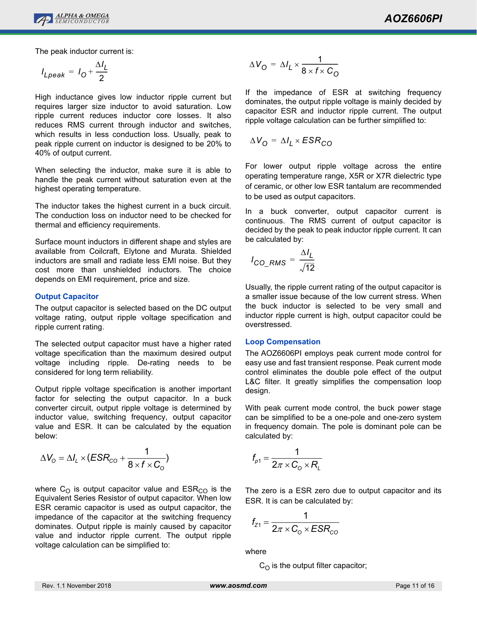

The peak inductor current is:

$$
I_{Lpeak} = I_0 + \frac{\Delta I_L}{2}
$$

High inductance gives low inductor ripple current but requires larger size inductor to avoid saturation. Low ripple current reduces inductor core losses. It also reduces RMS current through inductor and switches, which results in less conduction loss. Usually, peak to peak ripple current on inductor is designed to be 20% to 40% of output current.

When selecting the inductor, make sure it is able to handle the peak current without saturation even at the highest operating temperature.

The inductor takes the highest current in a buck circuit. The conduction loss on inductor need to be checked for thermal and efficiency requirements.

Surface mount inductors in different shape and styles are available from Coilcraft, Elytone and Murata. Shielded inductors are small and radiate less EMI noise. But they cost more than unshielded inductors. The choice depends on EMI requirement, price and size.

## **Output Capacitor**

The output capacitor is selected based on the DC output voltage rating, output ripple voltage specification and ripple current rating.

The selected output capacitor must have a higher rated voltage specification than the maximum desired output voltage including ripple. De-rating needs to be considered for long term reliability.

Output ripple voltage specification is another important factor for selecting the output capacitor. In a buck converter circuit, output ripple voltage is determined by inductor value, switching frequency, output capacitor value and ESR. It can be calculated by the equation below:

$$
\Delta V_{\rm O} = \Delta I_{\rm L} \times (ESR_{\rm CO} + \frac{1}{8 \times f \times C_{\rm O}})
$$

where  $C_O$  is output capacitor value and  $ESR_{CO}$  is the Equivalent Series Resistor of output capacitor. When low ESR ceramic capacitor is used as output capacitor, the impedance of the capacitor at the switching frequency dominates. Output ripple is mainly caused by capacitor value and inductor ripple current. The output ripple voltage calculation can be simplified to:

$$
\Delta V_{\mathbf{O}} = \Delta I_L \times \frac{1}{8 \times f \times C_{\mathbf{O}}}
$$

If the impedance of ESR at switching frequency dominates, the output ripple voltage is mainly decided by capacitor ESR and inductor ripple current. The output ripple voltage calculation can be further simplified to:

$$
\Delta V_{\rm O} = \Delta I_L \times ESR_{\rm CO}
$$

For lower output ripple voltage across the entire operating temperature range, X5R or X7R dielectric type of ceramic, or other low ESR tantalum are recommended to be used as output capacitors.

In a buck converter, output capacitor current is continuous. The RMS current of output capacitor is decided by the peak to peak inductor ripple current. It can be calculated by:

$$
I_{CO\_RMS} = \frac{\Delta I_L}{\sqrt{12}}
$$

Usually, the ripple current rating of the output capacitor is a smaller issue because of the low current stress. When the buck inductor is selected to be very small and inductor ripple current is high, output capacitor could be overstressed.

## **Loop Compensation**

The AOZ6606PI employs peak current mode control for easy use and fast transient response. Peak current mode control eliminates the double pole effect of the output L&C filter. It greatly simplifies the compensation loop design.

With peak current mode control, the buck power stage can be simplified to be a one-pole and one-zero system in frequency domain. The pole is dominant pole can be calculated by:

$$
f_{p1} = \frac{1}{2\pi \times C_0 \times R_L}
$$

The zero is a ESR zero due to output capacitor and its ESR. It is can be calculated by:

$$
f_{Z1} = \frac{1}{2\pi \times C_0 \times ESR_{\text{co}}}
$$

where

 $C_{\Omega}$  is the output filter capacitor;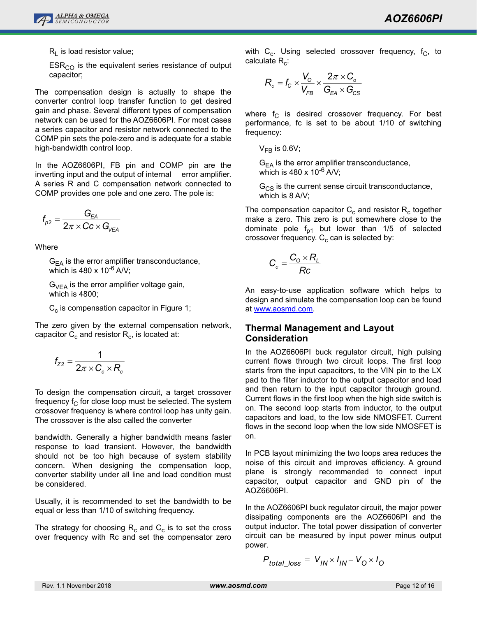

 $R<sub>L</sub>$  is load resistor value;

 $ESR<sub>CO</sub>$  is the equivalent series resistance of output capacitor;

The compensation design is actually to shape the converter control loop transfer function to get desired gain and phase. Several different types of compensation network can be used for the AOZ6606PI. For most cases a series capacitor and resistor network connected to the COMP pin sets the pole-zero and is adequate for a stable high-bandwidth control loop.

In the AOZ6606PI, FB pin and COMP pin are the inverting input and the output of internal error amplifier. A series R and C compensation network connected to COMP provides one pole and one zero. The pole is:

$$
f_{_{\rho 2}}=\frac{G_{_{\text{EA}}}}{2\pi\times CC\times G_{_{\text{VEA}}}}
$$

**Where** 

 $G_{FA}$  is the error amplifier transconductance, which is  $480 \times 10^{-6}$  A/V;

 $G_{\text{VFA}}$  is the error amplifier voltage gain, which is 4800;

 $C_c$  is compensation capacitor in Figure 1;

The zero given by the external compensation network, capacitor  $C_c$  and resistor  $R_c$ , is located at:

$$
f_{Z2} = \frac{1}{2\pi \times C_c \times R_c}
$$

To design the compensation circuit, a target crossover frequency  $f_C$  for close loop must be selected. The system crossover frequency is where control loop has unity gain. The crossover is the also called the converter

bandwidth. Generally a higher bandwidth means faster response to load transient. However, the bandwidth should not be too high because of system stability concern. When designing the compensation loop, converter stability under all line and load condition must be considered.

Usually, it is recommended to set the bandwidth to be equal or less than 1/10 of switching frequency.

The strategy for choosing  $R_c$  and  $C_c$  is to set the cross over frequency with Rc and set the compensator zero with  $C_c$ . Using selected crossover frequency,  $f_c$ , to calculate  $R_c$ :

$$
R_c = f_c \times \frac{V_o}{V_{FB}} \times \frac{2\pi \times C_o}{G_{EA} \times G_{CS}}
$$

where  $f_C$  is desired crossover frequency. For best performance, fc is set to be about 1/10 of switching frequency:

 $V_{FB}$  is 0.6V;

 $G_{FA}$  is the error amplifier transconductance, which is  $480 \times 10^{-6}$  A/V;

 $G_{CS}$  is the current sense circuit transconductance, which is 8 A/V;

The compensation capacitor  $C_c$  and resistor  $R_c$  together make a zero. This zero is put somewhere close to the dominate pole  $f_{p1}$  but lower than 1/5 of selected crossover frequency.  $C_c$  can is selected by:

$$
C_c = \frac{C_o \times R_L}{Rc}
$$

An easy-to-use application software which helps to design and simulate the compensation loop can be found at [www.aosmd.com.](http://www.aosmd.com)

## **Thermal Management and Layout Consideration**

In the AOZ6606PI buck regulator circuit, high pulsing current flows through two circuit loops. The first loop starts from the input capacitors, to the VIN pin to the LX pad to the filter inductor to the output capacitor and load and then return to the input capacitor through ground. Current flows in the first loop when the high side switch is on. The second loop starts from inductor, to the output capacitors and load, to the low side NMOSFET. Current flows in the second loop when the low side NMOSFET is on.

In PCB layout minimizing the two loops area reduces the noise of this circuit and improves efficiency. A ground plane is strongly recommended to connect input capacitor, output capacitor and GND pin of the AOZ6606PI.

In the AOZ6606PI buck regulator circuit, the major power dissipating components are the AOZ6606PI and the output inductor. The total power dissipation of converter circuit can be measured by input power minus output power.

$$
P_{total\_loss} = V_{IN} \times I_{IN} - V_{O} \times I_{O}
$$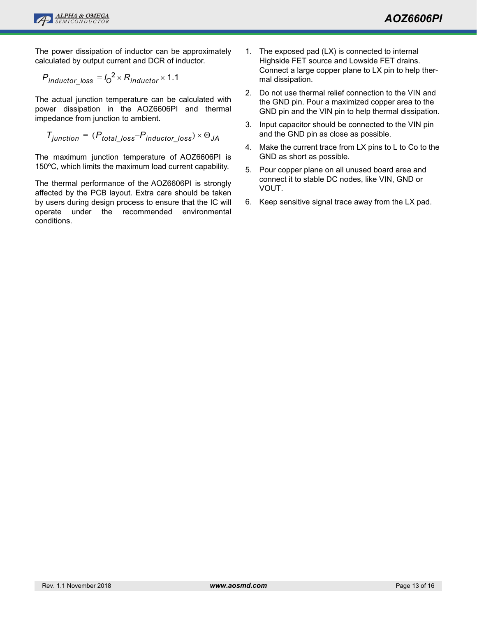

The power dissipation of inductor can be approximately calculated by output current and DCR of inductor.

$$
P_{inductor\_loss} = I_0^2 \times R_{inductor} \times 1.1
$$

The actual junction temperature can be calculated with power dissipation in the AOZ6606PI and thermal impedance from junction to ambient.

$$
T_{junction} = (P_{total\_loss} - P_{inductor\_loss}) \times \Theta_{JA}
$$

The maximum junction temperature of AOZ6606PI is 150ºC, which limits the maximum load current capability.

The thermal performance of the AOZ6606PI is strongly affected by the PCB layout. Extra care should be taken by users during design process to ensure that the IC will operate under the recommended environmental conditions.

- 1. The exposed pad (LX) is connected to internal Highside FET source and Lowside FET drains. Connect a large copper plane to LX pin to help thermal dissipation.
- 2. Do not use thermal relief connection to the VIN and the GND pin. Pour a maximized copper area to the GND pin and the VIN pin to help thermal dissipation.
- 3. Input capacitor should be connected to the VIN pin and the GND pin as close as possible.
- 4. Make the current trace from LX pins to L to Co to the GND as short as possible.
- 5. Pour copper plane on all unused board area and connect it to stable DC nodes, like VIN, GND or VOUT.
- 6. Keep sensitive signal trace away from the LX pad.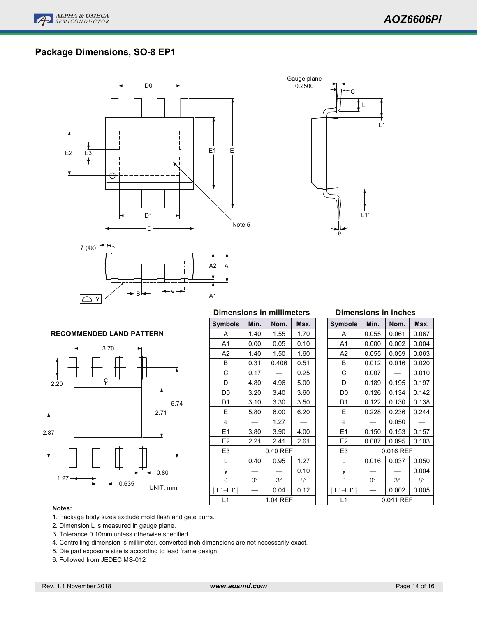# **Package Dimensions, SO-8 EP1**







# **RECOMMENDED LAND PATTERN**



### **Dimensions in millimeters**

| <b>Symbols</b> | Min.        | Nom.        | Max.        |
|----------------|-------------|-------------|-------------|
| A              | 1.40        | 1.55        | 1.70        |
| A <sub>1</sub> | 0.00        | 0.05        | 0.10        |
| A <sub>2</sub> | 1.40        | 1.50        | 1.60        |
| В              | 0.31        | 0.406       | 0.51        |
| C              | 0.17        |             | 0.25        |
| D              | 4.80        | 4.96        | 5.00        |
| D0             | 3.20        | 3.40        | 3.60        |
| D1             | 3.10        | 3.30        | 3.50        |
| E              | 5.80        | 6.00        | 6.20        |
| e              |             | 1.27        |             |
| E1             | 3.80        | 3.90        | 4.00        |
| E <sub>2</sub> | 2.21        | 2.41        | 2.61        |
| E3             |             | 0.40 REF    |             |
| L              | 0.40        | 0.95        | 1.27        |
| У              |             |             | 0.10        |
| θ              | $0^{\circ}$ | $3^{\circ}$ | $8^{\circ}$ |
| $ L1-L1' $     |             | 0.04        | 0.12        |
| L1             |             | 1.04 REF    |             |

#### **Dimensions in inches**

| Symbols        | Min.  | Nom.        | Max.  |
|----------------|-------|-------------|-------|
| A              | 0.055 | 0.061       | 0.067 |
| A1             | 0.000 | 0.002       | 0.004 |
| A2             | 0.055 | 0.059       | 0.063 |
| B              | 0.012 | 0.016       | 0.020 |
| С              | 0.007 |             | 0.010 |
| D              | 0.189 | 0.195       | 0.197 |
| D0             | 0.126 | 0.134       | 0.142 |
| D1             | 0.122 | 0.130       | 0.138 |
| E              | 0.228 | 0.236       | 0.244 |
| e              |       | 0.050       |       |
| Ε1             | 0.150 | 0.153       | 0.157 |
| E <sub>2</sub> | 0.087 | 0.095       | 0.103 |
| E3             |       | 0.016 REF   |       |
| L              | 0.016 | 0.037       | 0.050 |
| у              |       |             | 0.004 |
| θ              | 0°    | $3^{\circ}$ | 8°    |
| $L1-L1'$       |       | 0.002       | 0.005 |
| l 1            |       | 0.041 REF   |       |

#### **Notes:**

- 1. Package body sizes exclude mold flash and gate burrs.
- 2. Dimension L is measured in gauge plane.
- 3. Tolerance 0.10mm unless otherwise specified.
- 4. Controlling dimension is millimeter, converted inch dimensions are not necessarily exact.
- 5. Die pad exposure size is according to lead frame design.
- 6. Followed from JEDEC MS-012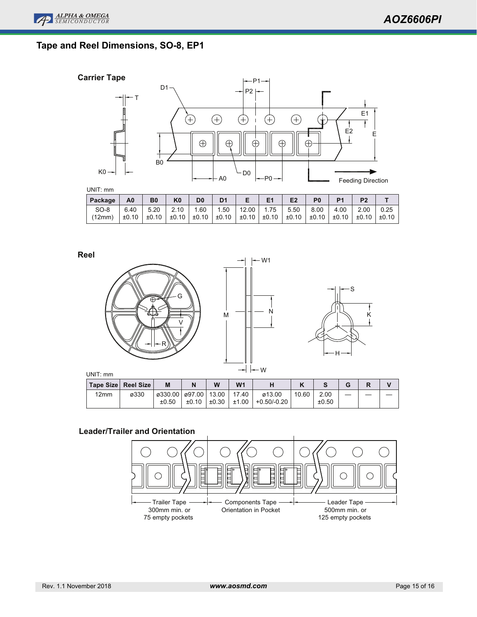S

 $\frac{1}{K}$ 



# **Tape and Reel Dimensions, SO-8, EP1**



UNIT: mm

| UNI I . IIIIII |       |           |                |                |                |       |       |                |                |                |                |       |
|----------------|-------|-----------|----------------|----------------|----------------|-------|-------|----------------|----------------|----------------|----------------|-------|
| Package        | A0    | <b>B0</b> | K <sub>0</sub> | D <sub>0</sub> | D <sub>1</sub> |       |       | E <sub>2</sub> | P <sub>0</sub> | P <sub>1</sub> | P <sub>2</sub> |       |
| $SO-8$         | 6.40  | 5.20      | 2.10           | .60            | 1.50           | 12.00 | 1.75  | 5.50           | 8.00           | 4.00           | 2.00           | 0.25  |
| (12mm)         | ±0.10 | ±0.10     | ±0.10          | ±0.10          | ±0.10          | ±0.10 | ±0.10 | ±0.10          | ±0.10          | ±0.10          | ±0.10          | ±0.10 |
|                |       |           |                |                |                |       |       |                |                |                |                |       |





|      | Tape Size Reel Size | M       |                | W     | W <sub>1</sub> |             |       |       | G | יי |  |
|------|---------------------|---------|----------------|-------|----------------|-------------|-------|-------|---|----|--|
| 12mm | ø330                | ø330.00 | ø97.00   13.00 |       | 17.40          | ø13.00      | 10.60 | 2.00  |   |    |  |
|      |                     | ±0.50   | ±0.10          | ±0.30 | ±1.00          | +0.50/-0.20 |       | ±0.50 |   |    |  |

## **Leader/Trailer and Orientation**